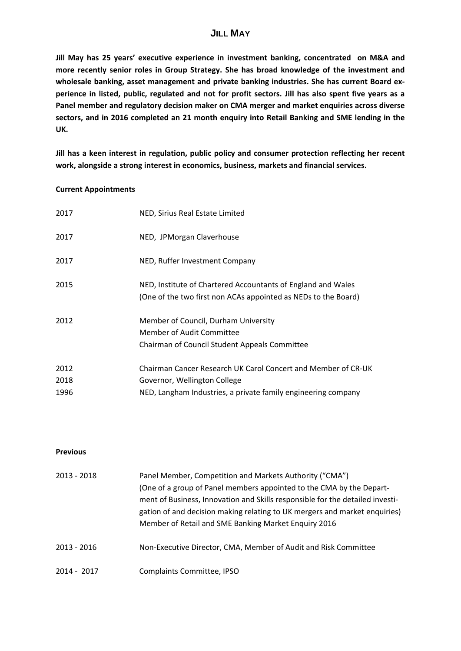# **JILL MAY**

**Jill May has 25 years' executive experience in investment banking, concentrated on M&A and more recently senior roles in Group Strategy. She has broad knowledge of the investment and wholesale banking, asset management and private banking industries. She has current Board ex‐** perience in listed, public, regulated and not for profit sectors. Jill has also spent five years as a **Panel member and regulatory decision maker on CMA merger and market enquiries across diverse sectors, and in 2016 completed an 21 month enquiry into Retail Banking and SME lending in the UK.** 

**Jill has a keen interest in regulation, public policy and consumer protection reflecting her recent work, alongside a strong interest in economics, business, markets and financial services.**

#### **Current Appointments**

| 2017 | NED, Sirius Real Estate Limited                                                                                                |
|------|--------------------------------------------------------------------------------------------------------------------------------|
| 2017 | NED, JPMorgan Claverhouse                                                                                                      |
| 2017 | NED, Ruffer Investment Company                                                                                                 |
| 2015 | NED, Institute of Chartered Accountants of England and Wales<br>(One of the two first non ACAs appointed as NEDs to the Board) |
| 2012 | Member of Council, Durham University<br>Member of Audit Committee<br>Chairman of Council Student Appeals Committee             |
| 2012 | Chairman Cancer Research UK Carol Concert and Member of CR-UK                                                                  |
| 2018 | Governor, Wellington College                                                                                                   |
| 1996 | NED, Langham Industries, a private family engineering company                                                                  |

### **Previous**

| 2013 - 2018 | Panel Member, Competition and Markets Authority ("CMA")<br>(One of a group of Panel members appointed to the CMA by the Depart-<br>ment of Business, Innovation and Skills responsible for the detailed investi-<br>gation of and decision making relating to UK mergers and market enquiries)<br>Member of Retail and SME Banking Market Enquiry 2016 |
|-------------|--------------------------------------------------------------------------------------------------------------------------------------------------------------------------------------------------------------------------------------------------------------------------------------------------------------------------------------------------------|
| 2013 - 2016 | Non-Executive Director, CMA, Member of Audit and Risk Committee                                                                                                                                                                                                                                                                                        |
| 2014 - 2017 | Complaints Committee, IPSO                                                                                                                                                                                                                                                                                                                             |